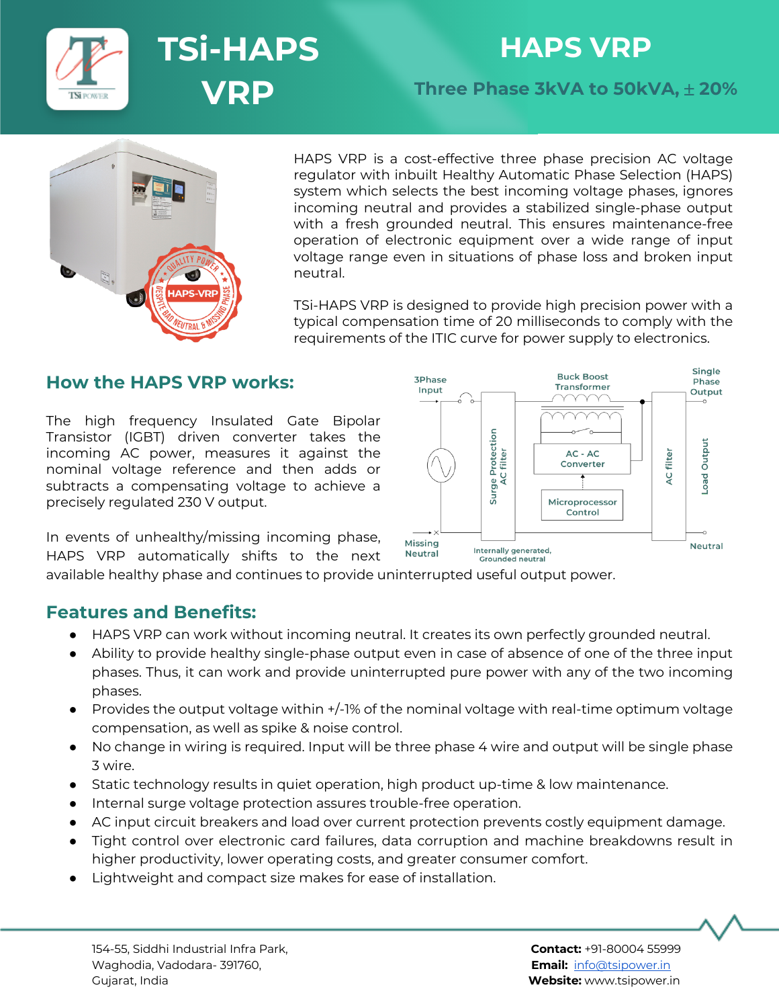

### **TSi-HAPS VRP**

#### **HAPS VRP**

**Three Phase 3kVA to 50kVA,** ± **20%**



HAPS VRP is a cost-effective three phase precision AC voltage regulator with inbuilt Healthy Automatic Phase Selection (HAPS) system which selects the best incoming voltage phases, ignores incoming neutral and provides a stabilized single-phase output with a fresh grounded neutral. This ensures maintenance-free operation of electronic equipment over a wide range of input voltage range even in situations of phase loss and broken input neutral.

TSi-HAPS VRP is designed to provide high precision power with a typical compensation time of 20 milliseconds to comply with the requirements of the ITIC curve for power supply to electronics.

#### **How the HAPS VRP works:**

The high frequency Insulated Gate Bipolar Transistor (IGBT) driven converter takes the incoming AC power, measures it against the nominal voltage reference and then adds or subtracts a compensating voltage to achieve a precisely regulated 230 V output.



In events of unhealthy/missing incoming phase, HAPS VRP automatically shifts to the next

available healthy phase and continues to provide uninterrupted useful output power.

#### **Features and Benefits:**

- HAPS VRP can work without incoming neutral. It creates its own perfectly grounded neutral.
- Ability to provide healthy single-phase output even in case of absence of one of the three input phases. Thus, it can work and provide uninterrupted pure power with any of the two incoming phases.
- Provides the output voltage within +/-1% of the nominal voltage with real-time optimum voltage compensation, as well as spike & noise control.
- No change in wiring is required. Input will be three phase 4 wire and output will be single phase 3 wire.
- Static technology results in quiet operation, high product up-time & low maintenance.
- Internal surge voltage protection assures trouble-free operation.
- AC input circuit breakers and load over current protection prevents costly equipment damage.
- Tight control over electronic card failures, data corruption and machine breakdowns result in higher productivity, lower operating costs, and greater consumer comfort.
- Lightweight and compact size makes for ease of installation.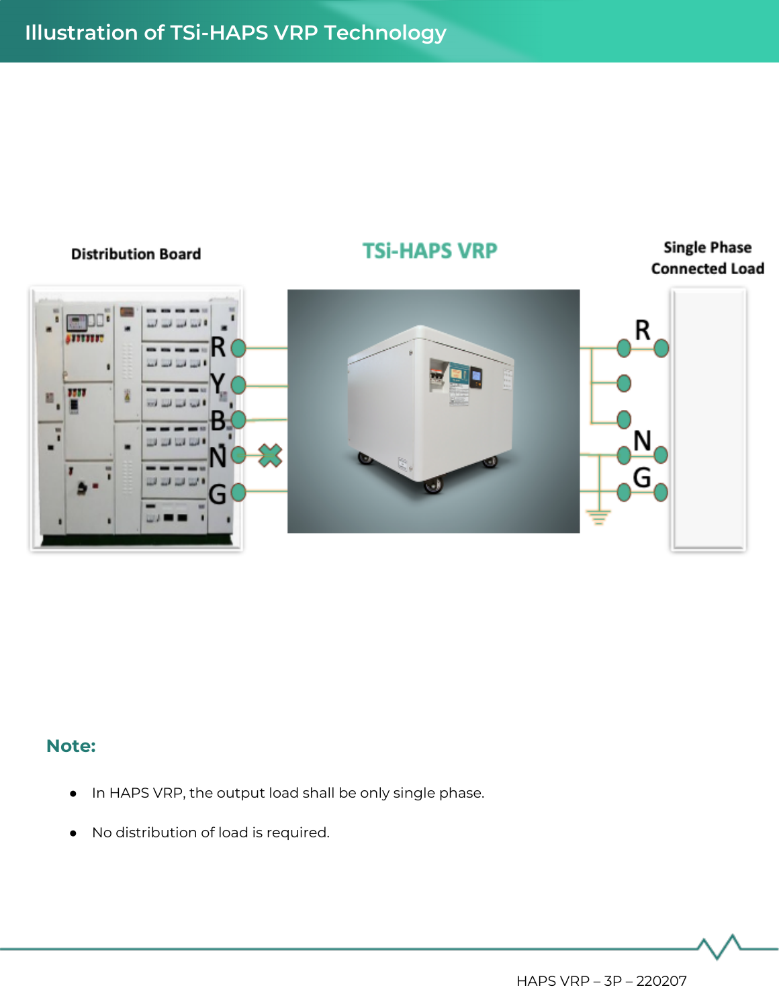#### **Distribution Board**

#### **TSi-HAPS VRP**

#### **Single Phase Connected Load**



#### **Note:**

- In HAPS VRP, the output load shall be only single phase.
- No distribution of load is required.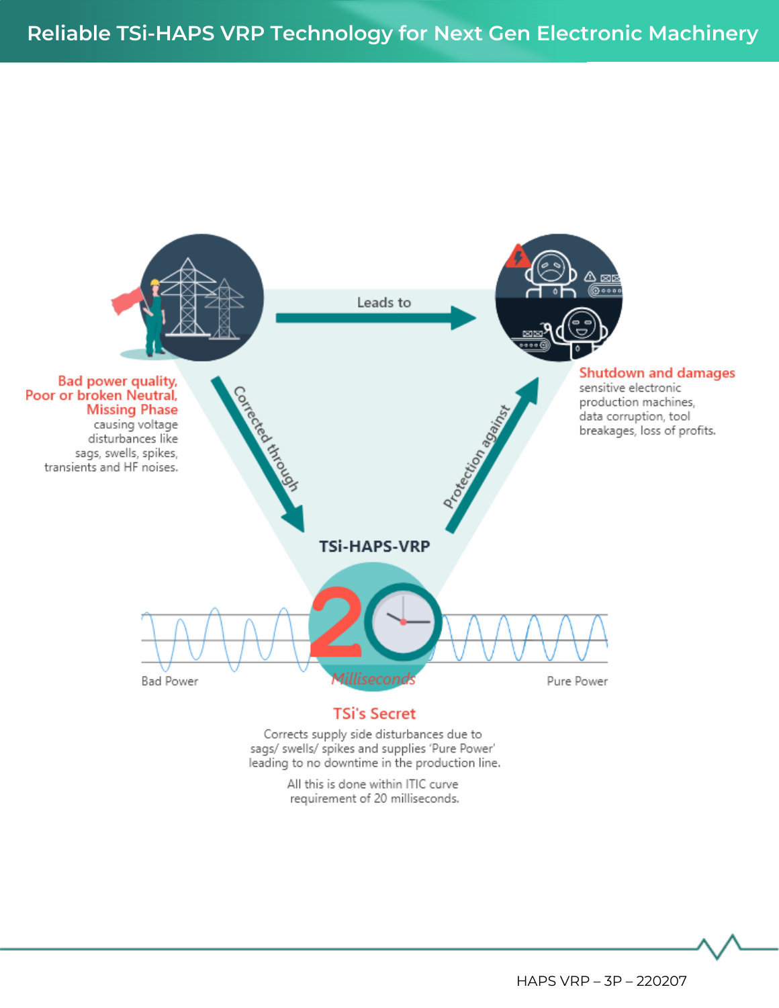

Corrects supply side disturbances due to sags/ swells/ spikes and supplies 'Pure Power' leading to no downtime in the production line.

> All this is done within ITIC curve requirement of 20 milliseconds.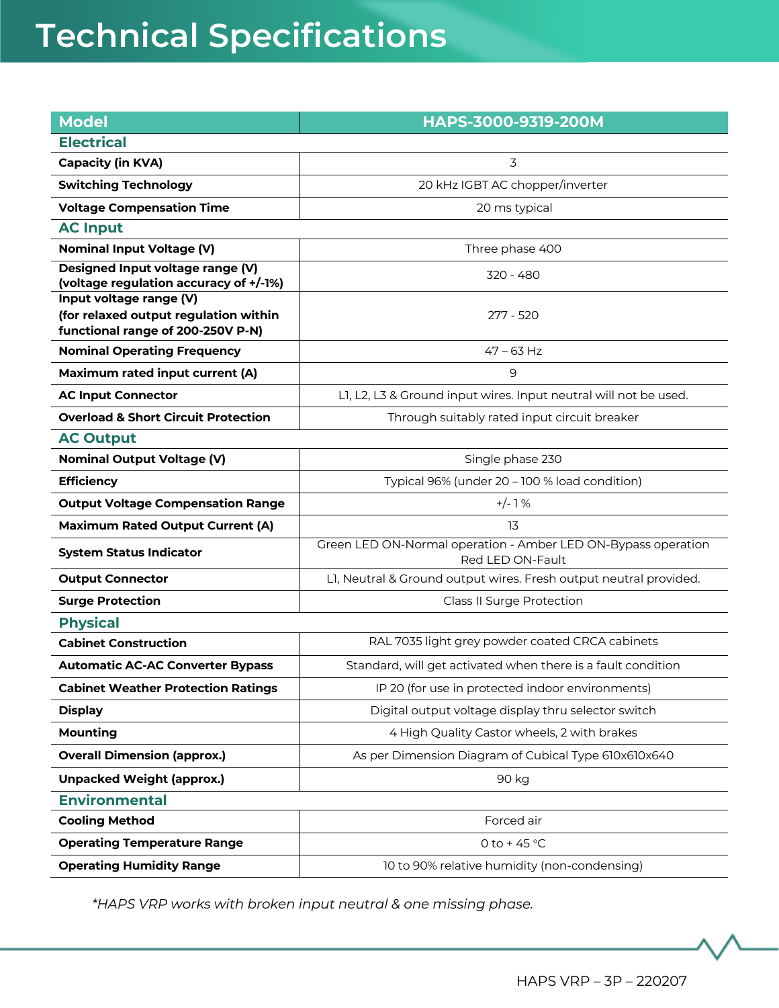| Model                                                                      | HAPS-3000-9319-200M                                                               |
|----------------------------------------------------------------------------|-----------------------------------------------------------------------------------|
| <b>Electrical</b>                                                          |                                                                                   |
| <b>Capacity (in KVA)</b>                                                   | 3                                                                                 |
| <b>Switching Technology</b>                                                | 20 kHz IGBT AC chopper/inverter                                                   |
| <b>Voltage Compensation Time</b>                                           | 20 ms typical                                                                     |
| <b>AC Input</b>                                                            |                                                                                   |
| <b>Nominal Input Voltage (V)</b>                                           | Three phase 400                                                                   |
| Designed Input voltage range (V)<br>(voltage regulation accuracy of +/-1%) | 320 - 480                                                                         |
| Input voltage range (V)                                                    |                                                                                   |
| (for relaxed output regulation within                                      | 277 - 520                                                                         |
| functional range of 200-250V P-N)                                          |                                                                                   |
| <b>Nominal Operating Frequency</b>                                         | $47 - 63$ Hz                                                                      |
| Maximum rated input current (A)                                            | 9                                                                                 |
| <b>AC Input Connector</b>                                                  | L1, L2, L3 & Ground input wires. Input neutral will not be used.                  |
| <b>Overload &amp; Short Circuit Protection</b>                             | Through suitably rated input circuit breaker                                      |
| <b>AC Output</b>                                                           |                                                                                   |
| <b>Nominal Output Voltage (V)</b>                                          | Single phase 230                                                                  |
| <b>Efficiency</b>                                                          | Typical 96% (under 20 - 100 % load condition)                                     |
| <b>Output Voltage Compensation Range</b>                                   | $+/-1%$                                                                           |
| <b>Maximum Rated Output Current (A)</b>                                    | 13                                                                                |
| <b>System Status Indicator</b>                                             | Green LED ON-Normal operation - Amber LED ON-Bypass operation<br>Red LED ON-Fault |
| <b>Output Connector</b>                                                    | L1, Neutral & Ground output wires. Fresh output neutral provided.                 |
| <b>Surge Protection</b>                                                    | Class II Surge Protection                                                         |
| <b>Physical</b>                                                            |                                                                                   |
| <b>Cabinet Construction</b>                                                | RAL 7035 light grey powder coated CRCA cabinets                                   |
| <b>Automatic AC-AC Converter Bypass</b>                                    | Standard, will get activated when there is a fault condition                      |
| <b>Cabinet Weather Protection Ratings</b>                                  | IP 20 (for use in protected indoor environments)                                  |
| <b>Display</b>                                                             | Digital output voltage display thru selector switch                               |
| <b>Mounting</b>                                                            | 4 High Quality Castor wheels, 2 with brakes                                       |
| <b>Overall Dimension (approx.)</b>                                         | As per Dimension Diagram of Cubical Type 610x610x640                              |
| <b>Unpacked Weight (approx.)</b>                                           | 90 kg                                                                             |
| <b>Environmental</b>                                                       |                                                                                   |
| <b>Cooling Method</b>                                                      | Forced air                                                                        |
| <b>Operating Temperature Range</b>                                         | 0 to +45 $^{\circ}$ C                                                             |
| <b>Operating Humidity Range</b>                                            | 10 to 90% relative humidity (non-condensing)                                      |

*\*HAPS VRP works with broken input neutral & one missing phase.*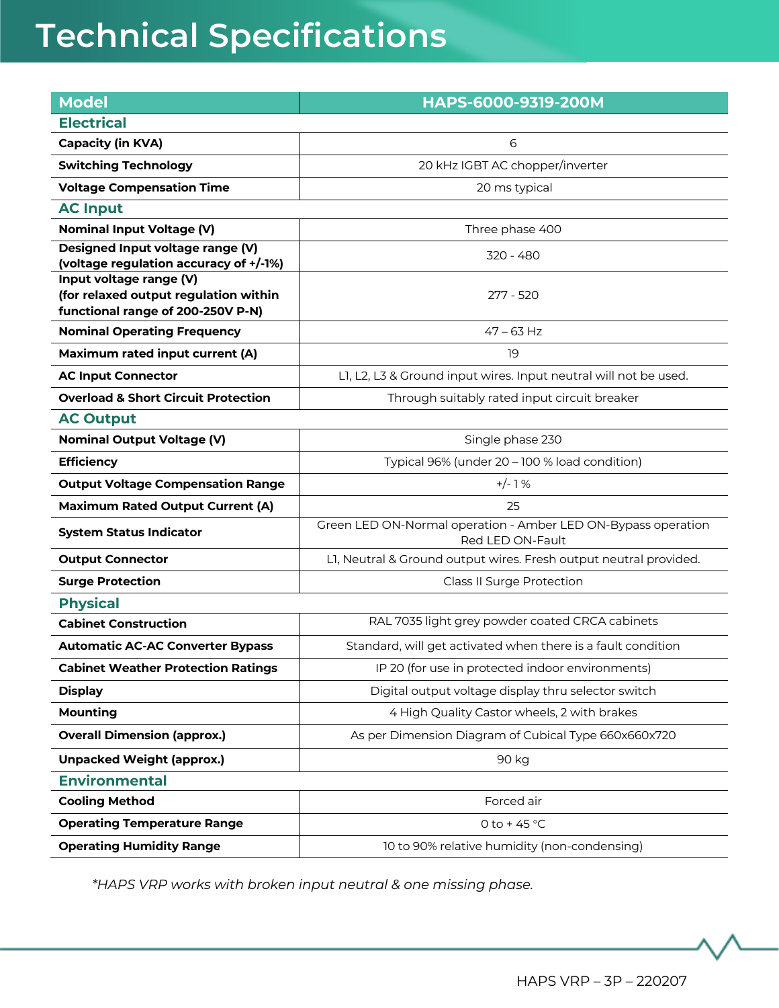| <b>Model</b>                                                               | HAPS-6000-9319-200M                                                               |
|----------------------------------------------------------------------------|-----------------------------------------------------------------------------------|
| <b>Electrical</b>                                                          |                                                                                   |
| <b>Capacity (in KVA)</b>                                                   | 6                                                                                 |
| <b>Switching Technology</b>                                                | 20 kHz IGBT AC chopper/inverter                                                   |
| <b>Voltage Compensation Time</b>                                           | 20 ms typical                                                                     |
| <b>AC Input</b>                                                            |                                                                                   |
| <b>Nominal Input Voltage (V)</b>                                           | Three phase 400                                                                   |
| Designed Input voltage range (V)<br>(voltage regulation accuracy of +/-1%) | $320 - 480$                                                                       |
| Input voltage range (V)                                                    |                                                                                   |
| (for relaxed output regulation within                                      | 277 - 520                                                                         |
| functional range of 200-250V P-N)                                          |                                                                                   |
| <b>Nominal Operating Frequency</b>                                         | $47 - 63$ Hz                                                                      |
| Maximum rated input current (A)                                            | 19                                                                                |
| <b>AC Input Connector</b>                                                  | L1, L2, L3 & Ground input wires. Input neutral will not be used.                  |
| <b>Overload &amp; Short Circuit Protection</b>                             | Through suitably rated input circuit breaker                                      |
| <b>AC Output</b>                                                           |                                                                                   |
| <b>Nominal Output Voltage (V)</b>                                          | Single phase 230                                                                  |
| <b>Efficiency</b>                                                          | Typical 96% (under 20 - 100 % load condition)                                     |
| <b>Output Voltage Compensation Range</b>                                   | $+/-1%$                                                                           |
| <b>Maximum Rated Output Current (A)</b>                                    | 25                                                                                |
| <b>System Status Indicator</b>                                             | Green LED ON-Normal operation - Amber LED ON-Bypass operation<br>Red LED ON-Fault |
| <b>Output Connector</b>                                                    | L1, Neutral & Ground output wires. Fresh output neutral provided.                 |
| <b>Surge Protection</b>                                                    | Class II Surge Protection                                                         |
| <b>Physical</b>                                                            |                                                                                   |
| <b>Cabinet Construction</b>                                                | RAL 7035 light grey powder coated CRCA cabinets                                   |
| <b>Automatic AC-AC Converter Bypass</b>                                    | Standard, will get activated when there is a fault condition                      |
| <b>Cabinet Weather Protection Ratings</b>                                  | IP 20 (for use in protected indoor environments)                                  |
| <b>Display</b>                                                             | Digital output voltage display thru selector switch                               |
| <b>Mounting</b>                                                            | 4 High Quality Castor wheels, 2 with brakes                                       |
| <b>Overall Dimension (approx.)</b>                                         | As per Dimension Diagram of Cubical Type 660x660x720                              |
| <b>Unpacked Weight (approx.)</b>                                           | 90 kg                                                                             |
| <b>Environmental</b>                                                       |                                                                                   |
| <b>Cooling Method</b>                                                      | Forced air                                                                        |
| <b>Operating Temperature Range</b>                                         | 0 to +45 $^{\circ}$ C                                                             |
| <b>Operating Humidity Range</b>                                            | 10 to 90% relative humidity (non-condensing)                                      |

*\*HAPS VRP works with broken input neutral & one missing phase.*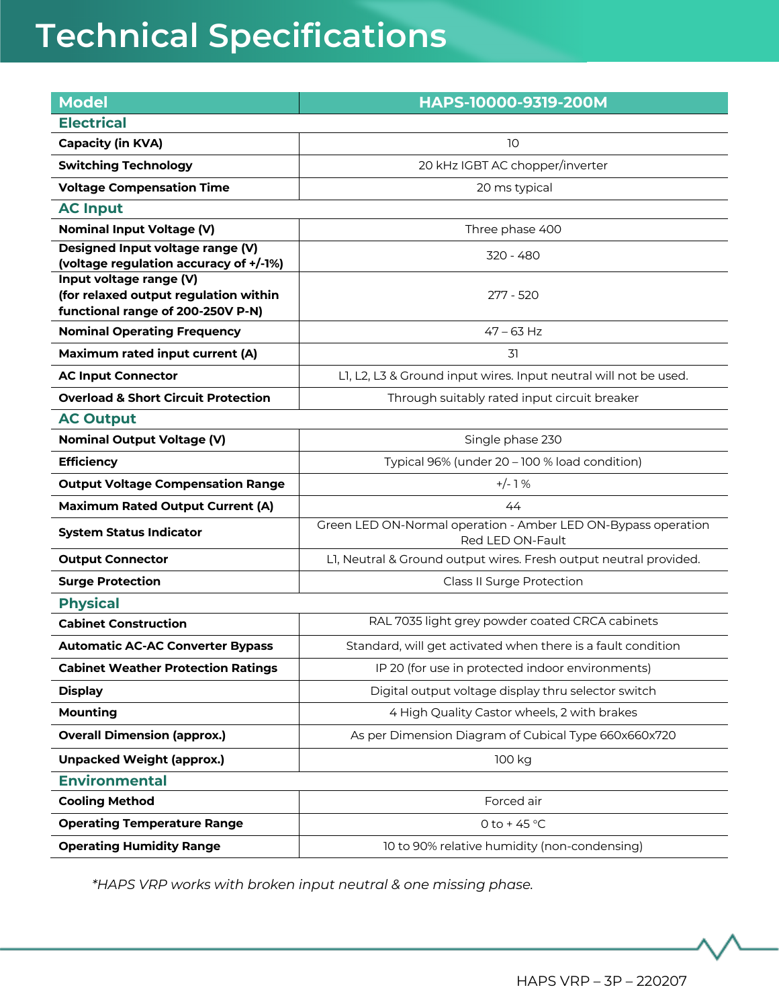| <b>Model</b>                                                               | HAPS-10000-9319-200M                                                              |
|----------------------------------------------------------------------------|-----------------------------------------------------------------------------------|
| <b>Electrical</b>                                                          |                                                                                   |
| <b>Capacity (in KVA)</b>                                                   | 10                                                                                |
| <b>Switching Technology</b>                                                | 20 kHz IGBT AC chopper/inverter                                                   |
| <b>Voltage Compensation Time</b>                                           | 20 ms typical                                                                     |
| <b>AC Input</b>                                                            |                                                                                   |
| <b>Nominal Input Voltage (V)</b>                                           | Three phase 400                                                                   |
| Designed Input voltage range (V)<br>(voltage regulation accuracy of +/-1%) | 320 - 480                                                                         |
| Input voltage range (V)                                                    |                                                                                   |
| (for relaxed output regulation within                                      | 277 - 520                                                                         |
| functional range of 200-250V P-N)                                          |                                                                                   |
| <b>Nominal Operating Frequency</b>                                         | $47 - 63$ Hz                                                                      |
| Maximum rated input current (A)                                            | 31                                                                                |
| <b>AC Input Connector</b>                                                  | L1, L2, L3 & Ground input wires. Input neutral will not be used.                  |
| <b>Overload &amp; Short Circuit Protection</b>                             | Through suitably rated input circuit breaker                                      |
| <b>AC Output</b>                                                           |                                                                                   |
| <b>Nominal Output Voltage (V)</b>                                          | Single phase 230                                                                  |
| <b>Efficiency</b>                                                          | Typical 96% (under 20 - 100 % load condition)                                     |
| <b>Output Voltage Compensation Range</b>                                   | $+/-1%$                                                                           |
| <b>Maximum Rated Output Current (A)</b>                                    | 44                                                                                |
| <b>System Status Indicator</b>                                             | Green LED ON-Normal operation - Amber LED ON-Bypass operation<br>Red LED ON-Fault |
| <b>Output Connector</b>                                                    | L1, Neutral & Ground output wires. Fresh output neutral provided.                 |
| <b>Surge Protection</b>                                                    | Class II Surge Protection                                                         |
| <b>Physical</b>                                                            |                                                                                   |
| <b>Cabinet Construction</b>                                                | RAL 7035 light grey powder coated CRCA cabinets                                   |
| <b>Automatic AC-AC Converter Bypass</b>                                    | Standard, will get activated when there is a fault condition                      |
| <b>Cabinet Weather Protection Ratings</b>                                  | IP 20 (for use in protected indoor environments)                                  |
| <b>Display</b>                                                             | Digital output voltage display thru selector switch                               |
| <b>Mounting</b>                                                            | 4 High Quality Castor wheels, 2 with brakes                                       |
| <b>Overall Dimension (approx.)</b>                                         | As per Dimension Diagram of Cubical Type 660x660x720                              |
| <b>Unpacked Weight (approx.)</b>                                           | 100 kg                                                                            |
| <b>Environmental</b>                                                       |                                                                                   |
| <b>Cooling Method</b>                                                      | Forced air                                                                        |
| <b>Operating Temperature Range</b>                                         | 0 to +45 $^{\circ}$ C                                                             |
| <b>Operating Humidity Range</b>                                            | 10 to 90% relative humidity (non-condensing)                                      |

*\*HAPS VRP works with broken input neutral & one missing phase.*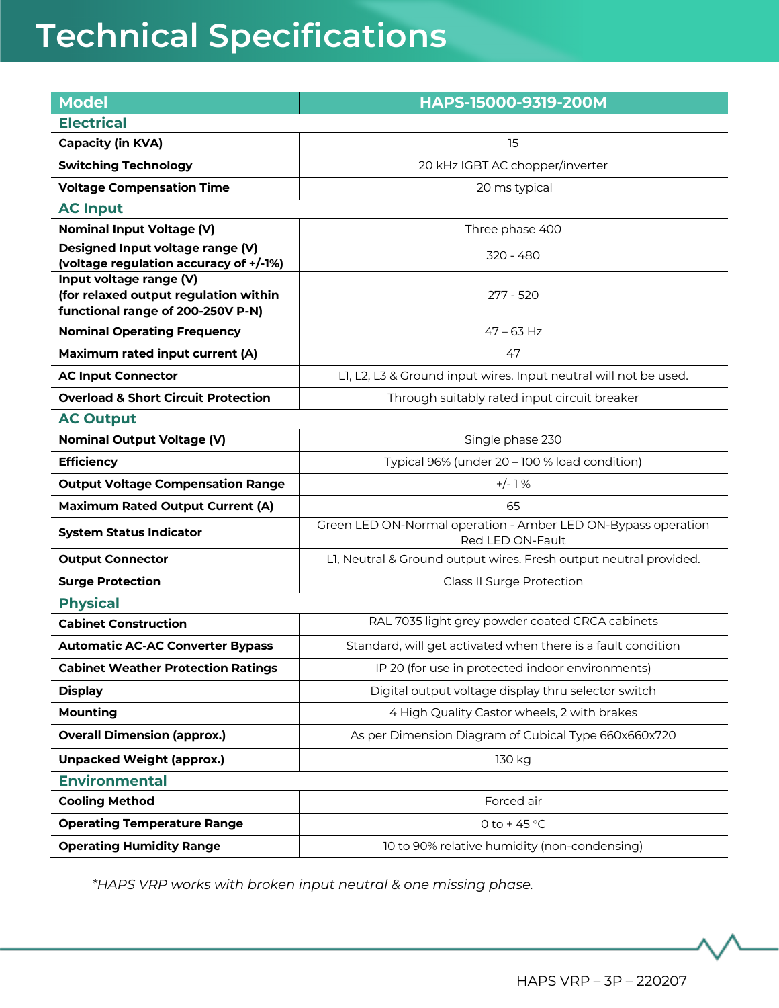| <b>Model</b>                                                      | HAPS-15000-9319-200M                                                              |
|-------------------------------------------------------------------|-----------------------------------------------------------------------------------|
| <b>Electrical</b>                                                 |                                                                                   |
| <b>Capacity (in KVA)</b>                                          | 15                                                                                |
| <b>Switching Technology</b>                                       | 20 kHz IGBT AC chopper/inverter                                                   |
| <b>Voltage Compensation Time</b>                                  | 20 ms typical                                                                     |
| <b>AC Input</b>                                                   |                                                                                   |
| <b>Nominal Input Voltage (V)</b>                                  | Three phase 400                                                                   |
| Designed Input voltage range (V)                                  | 320 - 480                                                                         |
| (voltage regulation accuracy of +/-1%)<br>Input voltage range (V) |                                                                                   |
| (for relaxed output regulation within                             | 277 - 520                                                                         |
| functional range of 200-250V P-N)                                 |                                                                                   |
| <b>Nominal Operating Frequency</b>                                | $47 - 63$ Hz                                                                      |
| Maximum rated input current (A)                                   | 47                                                                                |
| <b>AC Input Connector</b>                                         | L1, L2, L3 & Ground input wires. Input neutral will not be used.                  |
| <b>Overload &amp; Short Circuit Protection</b>                    | Through suitably rated input circuit breaker                                      |
| <b>AC Output</b>                                                  |                                                                                   |
| <b>Nominal Output Voltage (V)</b>                                 | Single phase 230                                                                  |
| <b>Efficiency</b>                                                 | Typical 96% (under 20 - 100 % load condition)                                     |
| <b>Output Voltage Compensation Range</b>                          | $+/-1%$                                                                           |
| <b>Maximum Rated Output Current (A)</b>                           | 65                                                                                |
| <b>System Status Indicator</b>                                    | Green LED ON-Normal operation - Amber LED ON-Bypass operation<br>Red LED ON-Fault |
| <b>Output Connector</b>                                           | L1, Neutral & Ground output wires. Fresh output neutral provided.                 |
| <b>Surge Protection</b>                                           | Class II Surge Protection                                                         |
| <b>Physical</b>                                                   |                                                                                   |
| <b>Cabinet Construction</b>                                       | RAL 7035 light grey powder coated CRCA cabinets                                   |
| <b>Automatic AC-AC Converter Bypass</b>                           | Standard, will get activated when there is a fault condition                      |
| <b>Cabinet Weather Protection Ratings</b>                         | IP 20 (for use in protected indoor environments)                                  |
| <b>Display</b>                                                    | Digital output voltage display thru selector switch                               |
| <b>Mounting</b>                                                   | 4 High Quality Castor wheels, 2 with brakes                                       |
| <b>Overall Dimension (approx.)</b>                                | As per Dimension Diagram of Cubical Type 660x660x720                              |
| <b>Unpacked Weight (approx.)</b>                                  | 130 kg                                                                            |
| <b>Environmental</b>                                              |                                                                                   |
| <b>Cooling Method</b>                                             | Forced air                                                                        |
| <b>Operating Temperature Range</b>                                | 0 to +45 $\degree$ C                                                              |
| <b>Operating Humidity Range</b>                                   | 10 to 90% relative humidity (non-condensing)                                      |

*\*HAPS VRP works with broken input neutral & one missing phase.*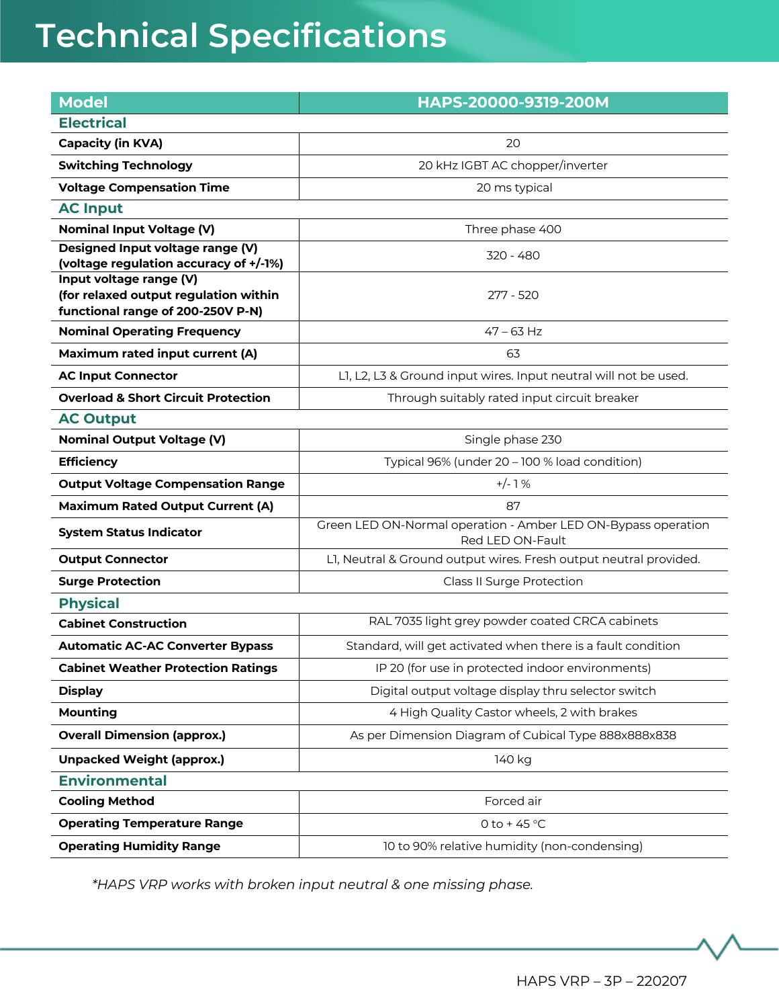| <b>Model</b>                                                               | HAPS-20000-9319-200M                                                              |
|----------------------------------------------------------------------------|-----------------------------------------------------------------------------------|
| <b>Electrical</b>                                                          |                                                                                   |
| <b>Capacity (in KVA)</b>                                                   | 20                                                                                |
| <b>Switching Technology</b>                                                | 20 kHz IGBT AC chopper/inverter                                                   |
| <b>Voltage Compensation Time</b>                                           | 20 ms typical                                                                     |
| <b>AC Input</b>                                                            |                                                                                   |
| <b>Nominal Input Voltage (V)</b>                                           | Three phase 400                                                                   |
| Designed Input voltage range (V)<br>(voltage regulation accuracy of +/-1%) | 320 - 480                                                                         |
| Input voltage range (V)                                                    |                                                                                   |
| (for relaxed output regulation within                                      | 277 - 520                                                                         |
| functional range of 200-250V P-N)                                          |                                                                                   |
| <b>Nominal Operating Frequency</b>                                         | $47 - 63$ Hz                                                                      |
| Maximum rated input current (A)                                            | 63                                                                                |
| <b>AC Input Connector</b>                                                  | L1, L2, L3 & Ground input wires. Input neutral will not be used.                  |
| <b>Overload &amp; Short Circuit Protection</b>                             | Through suitably rated input circuit breaker                                      |
| <b>AC Output</b>                                                           |                                                                                   |
| <b>Nominal Output Voltage (V)</b>                                          | Single phase 230                                                                  |
| <b>Efficiency</b>                                                          | Typical 96% (under 20 - 100 % load condition)                                     |
| <b>Output Voltage Compensation Range</b>                                   | $+/-1%$                                                                           |
| <b>Maximum Rated Output Current (A)</b>                                    | 87                                                                                |
| <b>System Status Indicator</b>                                             | Green LED ON-Normal operation - Amber LED ON-Bypass operation<br>Red LED ON-Fault |
| <b>Output Connector</b>                                                    | L1, Neutral & Ground output wires. Fresh output neutral provided.                 |
| <b>Surge Protection</b>                                                    | Class II Surge Protection                                                         |
| <b>Physical</b>                                                            |                                                                                   |
| <b>Cabinet Construction</b>                                                | RAL 7035 light grey powder coated CRCA cabinets                                   |
| <b>Automatic AC-AC Converter Bypass</b>                                    | Standard, will get activated when there is a fault condition                      |
| <b>Cabinet Weather Protection Ratings</b>                                  | IP 20 (for use in protected indoor environments)                                  |
| <b>Display</b>                                                             | Digital output voltage display thru selector switch                               |
| <b>Mounting</b>                                                            | 4 High Quality Castor wheels, 2 with brakes                                       |
| <b>Overall Dimension (approx.)</b>                                         | As per Dimension Diagram of Cubical Type 888x888x838                              |
| <b>Unpacked Weight (approx.)</b>                                           | 140 kg                                                                            |
| <b>Environmental</b>                                                       |                                                                                   |
| <b>Cooling Method</b>                                                      | Forced air                                                                        |
| <b>Operating Temperature Range</b>                                         | 0 to +45 $^{\circ}$ C                                                             |
| <b>Operating Humidity Range</b>                                            | 10 to 90% relative humidity (non-condensing)                                      |

*\*HAPS VRP works with broken input neutral & one missing phase.*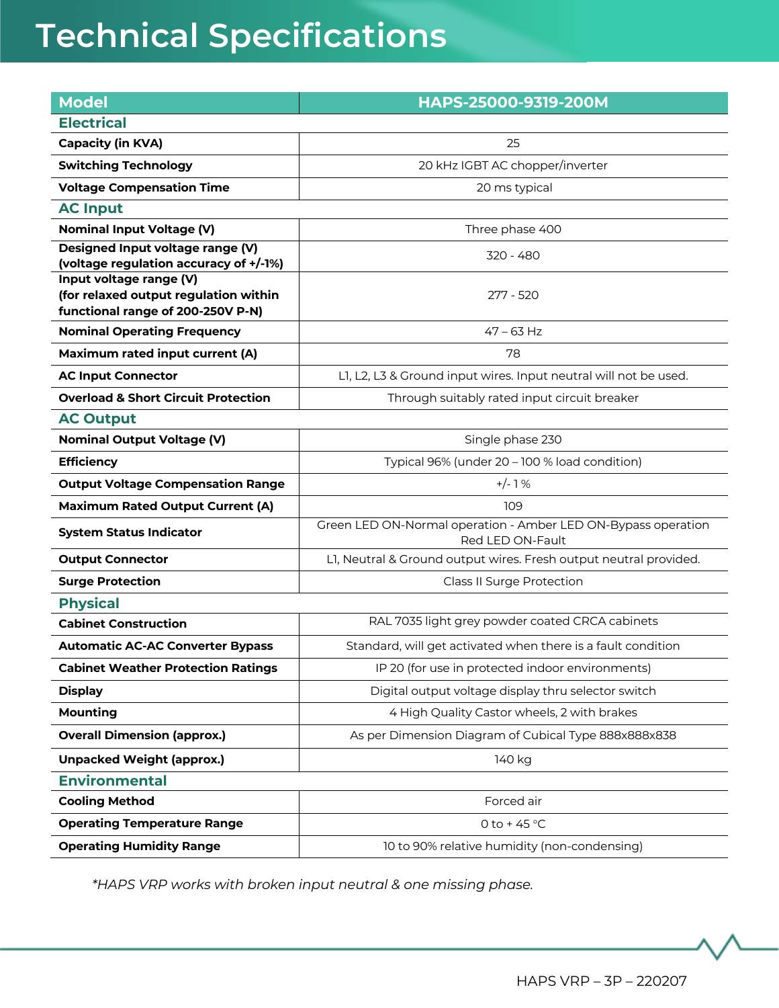| <b>Model</b>                                                               | HAPS-25000-9319-200M                                                              |
|----------------------------------------------------------------------------|-----------------------------------------------------------------------------------|
| <b>Electrical</b>                                                          |                                                                                   |
| <b>Capacity (in KVA)</b>                                                   | 25                                                                                |
| <b>Switching Technology</b>                                                | 20 kHz IGBT AC chopper/inverter                                                   |
| <b>Voltage Compensation Time</b>                                           | 20 ms typical                                                                     |
| <b>AC Input</b>                                                            |                                                                                   |
| <b>Nominal Input Voltage (V)</b>                                           | Three phase 400                                                                   |
| Designed Input voltage range (V)<br>(voltage regulation accuracy of +/-1%) | 320 - 480                                                                         |
| Input voltage range (V)                                                    |                                                                                   |
| (for relaxed output regulation within                                      | 277 - 520                                                                         |
| functional range of 200-250V P-N)                                          |                                                                                   |
| <b>Nominal Operating Frequency</b>                                         | $47 - 63$ Hz                                                                      |
| Maximum rated input current (A)                                            | 78                                                                                |
| <b>AC Input Connector</b>                                                  | L1, L2, L3 & Ground input wires. Input neutral will not be used.                  |
| <b>Overload &amp; Short Circuit Protection</b>                             | Through suitably rated input circuit breaker                                      |
| <b>AC Output</b>                                                           |                                                                                   |
| <b>Nominal Output Voltage (V)</b>                                          | Single phase 230                                                                  |
| <b>Efficiency</b>                                                          | Typical 96% (under 20 - 100 % load condition)                                     |
| <b>Output Voltage Compensation Range</b>                                   | $+/-1%$                                                                           |
| <b>Maximum Rated Output Current (A)</b>                                    | 109                                                                               |
| <b>System Status Indicator</b>                                             | Green LED ON-Normal operation - Amber LED ON-Bypass operation<br>Red LED ON-Fault |
| <b>Output Connector</b>                                                    | L1, Neutral & Ground output wires. Fresh output neutral provided.                 |
| <b>Surge Protection</b>                                                    | <b>Class II Surge Protection</b>                                                  |
| <b>Physical</b>                                                            |                                                                                   |
| <b>Cabinet Construction</b>                                                | RAL 7035 light grey powder coated CRCA cabinets                                   |
| <b>Automatic AC-AC Converter Bypass</b>                                    | Standard, will get activated when there is a fault condition                      |
| <b>Cabinet Weather Protection Ratings</b>                                  | IP 20 (for use in protected indoor environments)                                  |
| <b>Display</b>                                                             | Digital output voltage display thru selector switch                               |
| <b>Mounting</b>                                                            | 4 High Quality Castor wheels, 2 with brakes                                       |
| <b>Overall Dimension (approx.)</b>                                         | As per Dimension Diagram of Cubical Type 888x888x838                              |
| <b>Unpacked Weight (approx.)</b>                                           | 140 kg                                                                            |
| <b>Environmental</b>                                                       |                                                                                   |
| <b>Cooling Method</b>                                                      | Forced air                                                                        |
| <b>Operating Temperature Range</b>                                         | 0 to +45 $^{\circ}$ C                                                             |
| <b>Operating Humidity Range</b>                                            | 10 to 90% relative humidity (non-condensing)                                      |

*\*HAPS VRP works with broken input neutral & one missing phase.*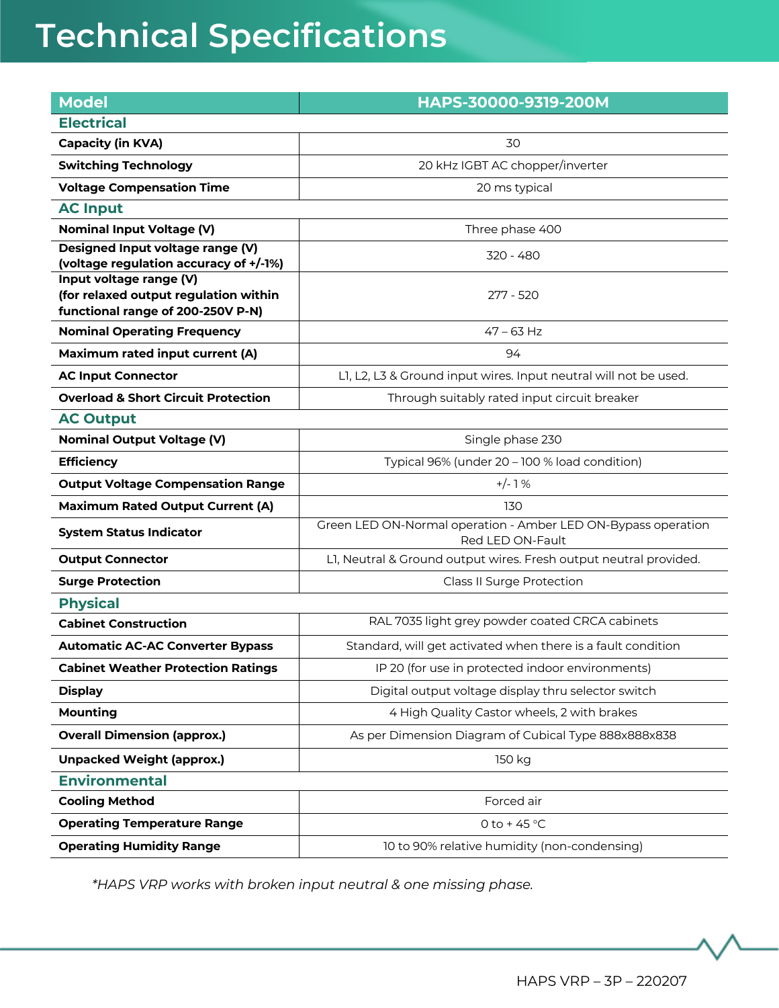| <b>Model</b>                                                               | HAPS-30000-9319-200M                                                              |
|----------------------------------------------------------------------------|-----------------------------------------------------------------------------------|
| <b>Electrical</b>                                                          |                                                                                   |
| <b>Capacity (in KVA)</b>                                                   | 30                                                                                |
| <b>Switching Technology</b>                                                | 20 kHz IGBT AC chopper/inverter                                                   |
| <b>Voltage Compensation Time</b>                                           | 20 ms typical                                                                     |
| <b>AC Input</b>                                                            |                                                                                   |
| <b>Nominal Input Voltage (V)</b>                                           | Three phase 400                                                                   |
| Designed Input voltage range (V)<br>(voltage regulation accuracy of +/-1%) | 320 - 480                                                                         |
| Input voltage range (V)                                                    |                                                                                   |
| (for relaxed output regulation within                                      | 277 - 520                                                                         |
| functional range of 200-250V P-N)                                          |                                                                                   |
| <b>Nominal Operating Frequency</b>                                         | $47 - 63$ Hz                                                                      |
| Maximum rated input current (A)                                            | 94                                                                                |
| <b>AC Input Connector</b>                                                  | L1, L2, L3 & Ground input wires. Input neutral will not be used.                  |
| <b>Overload &amp; Short Circuit Protection</b>                             | Through suitably rated input circuit breaker                                      |
| <b>AC Output</b>                                                           |                                                                                   |
| <b>Nominal Output Voltage (V)</b>                                          | Single phase 230                                                                  |
| <b>Efficiency</b>                                                          | Typical 96% (under 20 - 100 % load condition)                                     |
| <b>Output Voltage Compensation Range</b>                                   | $+/-1%$                                                                           |
| <b>Maximum Rated Output Current (A)</b>                                    | 130                                                                               |
| <b>System Status Indicator</b>                                             | Green LED ON-Normal operation - Amber LED ON-Bypass operation<br>Red LED ON-Fault |
| <b>Output Connector</b>                                                    | L1, Neutral & Ground output wires. Fresh output neutral provided.                 |
| <b>Surge Protection</b>                                                    | Class II Surge Protection                                                         |
| <b>Physical</b>                                                            |                                                                                   |
| <b>Cabinet Construction</b>                                                | RAL 7035 light grey powder coated CRCA cabinets                                   |
| <b>Automatic AC-AC Converter Bypass</b>                                    | Standard, will get activated when there is a fault condition                      |
| <b>Cabinet Weather Protection Ratings</b>                                  | IP 20 (for use in protected indoor environments)                                  |
| <b>Display</b>                                                             | Digital output voltage display thru selector switch                               |
| <b>Mounting</b>                                                            | 4 High Quality Castor wheels, 2 with brakes                                       |
| <b>Overall Dimension (approx.)</b>                                         | As per Dimension Diagram of Cubical Type 888x888x838                              |
| <b>Unpacked Weight (approx.)</b>                                           | 150 kg                                                                            |
| <b>Environmental</b>                                                       |                                                                                   |
| <b>Cooling Method</b>                                                      | Forced air                                                                        |
| <b>Operating Temperature Range</b>                                         | 0 to +45 $^{\circ}$ C                                                             |
| <b>Operating Humidity Range</b>                                            | 10 to 90% relative humidity (non-condensing)                                      |

*\*HAPS VRP works with broken input neutral & one missing phase.*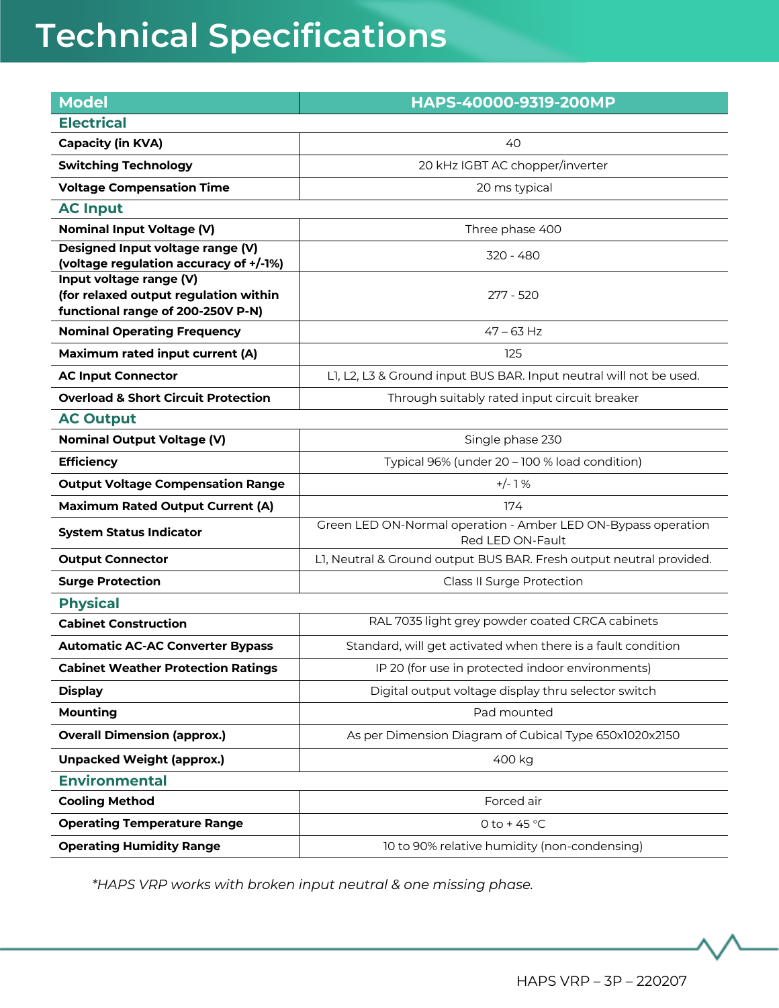| <b>Model</b>                                                               | HAPS-40000-9319-200MP                                                             |
|----------------------------------------------------------------------------|-----------------------------------------------------------------------------------|
| <b>Electrical</b>                                                          |                                                                                   |
| <b>Capacity (in KVA)</b>                                                   | 40                                                                                |
| <b>Switching Technology</b>                                                | 20 kHz IGBT AC chopper/inverter                                                   |
| <b>Voltage Compensation Time</b>                                           | 20 ms typical                                                                     |
| <b>AC Input</b>                                                            |                                                                                   |
| <b>Nominal Input Voltage (V)</b>                                           | Three phase 400                                                                   |
| Designed Input voltage range (V)<br>(voltage regulation accuracy of +/-1%) | 320 - 480                                                                         |
| Input voltage range (V)                                                    |                                                                                   |
| (for relaxed output regulation within                                      | 277 - 520                                                                         |
| functional range of 200-250V P-N)                                          |                                                                                   |
| <b>Nominal Operating Frequency</b>                                         | $47 - 63$ Hz                                                                      |
| Maximum rated input current (A)                                            | 125                                                                               |
| <b>AC Input Connector</b>                                                  | L1, L2, L3 & Ground input BUS BAR. Input neutral will not be used.                |
| <b>Overload &amp; Short Circuit Protection</b>                             | Through suitably rated input circuit breaker                                      |
| <b>AC Output</b>                                                           |                                                                                   |
| <b>Nominal Output Voltage (V)</b>                                          | Single phase 230                                                                  |
| <b>Efficiency</b>                                                          | Typical 96% (under 20 - 100 % load condition)                                     |
| <b>Output Voltage Compensation Range</b>                                   | $+/-1%$                                                                           |
| <b>Maximum Rated Output Current (A)</b>                                    | 174                                                                               |
| <b>System Status Indicator</b>                                             | Green LED ON-Normal operation - Amber LED ON-Bypass operation<br>Red LED ON-Fault |
| <b>Output Connector</b>                                                    | L1, Neutral & Ground output BUS BAR. Fresh output neutral provided.               |
| <b>Surge Protection</b>                                                    | Class II Surge Protection                                                         |
| <b>Physical</b>                                                            |                                                                                   |
| <b>Cabinet Construction</b>                                                | RAL 7035 light grey powder coated CRCA cabinets                                   |
| <b>Automatic AC-AC Converter Bypass</b>                                    | Standard, will get activated when there is a fault condition                      |
| <b>Cabinet Weather Protection Ratings</b>                                  | IP 20 (for use in protected indoor environments)                                  |
| <b>Display</b>                                                             | Digital output voltage display thru selector switch                               |
| <b>Mounting</b>                                                            | Pad mounted                                                                       |
| <b>Overall Dimension (approx.)</b>                                         | As per Dimension Diagram of Cubical Type 650x1020x2150                            |
| <b>Unpacked Weight (approx.)</b>                                           | 400 kg                                                                            |
| <b>Environmental</b>                                                       |                                                                                   |
| <b>Cooling Method</b>                                                      | Forced air                                                                        |
| <b>Operating Temperature Range</b>                                         | 0 to +45 °C                                                                       |
| <b>Operating Humidity Range</b>                                            | 10 to 90% relative humidity (non-condensing)                                      |

*\*HAPS VRP works with broken input neutral & one missing phase.*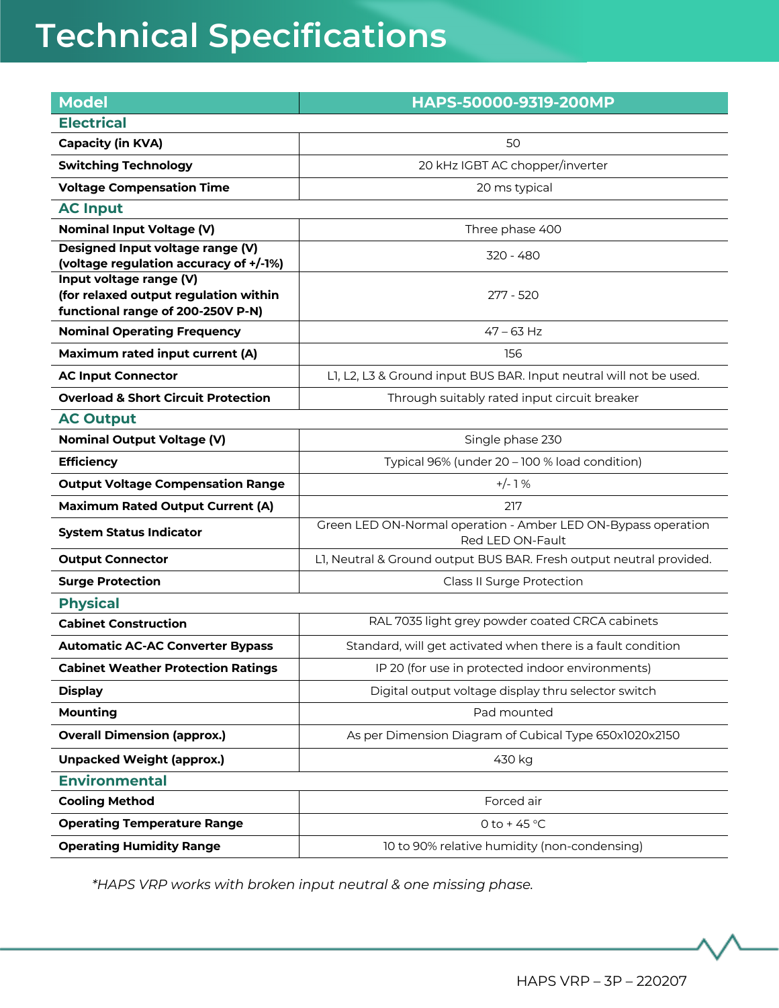| <b>Model</b>                                                               | HAPS-50000-9319-200MP                                                             |
|----------------------------------------------------------------------------|-----------------------------------------------------------------------------------|
| <b>Electrical</b>                                                          |                                                                                   |
| <b>Capacity (in KVA)</b>                                                   | 50                                                                                |
| <b>Switching Technology</b>                                                | 20 kHz IGBT AC chopper/inverter                                                   |
| <b>Voltage Compensation Time</b>                                           | 20 ms typical                                                                     |
| <b>AC Input</b>                                                            |                                                                                   |
| <b>Nominal Input Voltage (V)</b>                                           | Three phase 400                                                                   |
| Designed Input voltage range (V)<br>(voltage regulation accuracy of +/-1%) | 320 - 480                                                                         |
| Input voltage range (V)                                                    |                                                                                   |
| (for relaxed output regulation within                                      | 277 - 520                                                                         |
| functional range of 200-250V P-N)                                          |                                                                                   |
| <b>Nominal Operating Frequency</b>                                         | $47 - 63$ Hz                                                                      |
| Maximum rated input current (A)                                            | 156                                                                               |
| <b>AC Input Connector</b>                                                  | L1, L2, L3 & Ground input BUS BAR. Input neutral will not be used.                |
| <b>Overload &amp; Short Circuit Protection</b>                             | Through suitably rated input circuit breaker                                      |
| <b>AC Output</b>                                                           |                                                                                   |
| <b>Nominal Output Voltage (V)</b>                                          | Single phase 230                                                                  |
| <b>Efficiency</b>                                                          | Typical 96% (under 20 - 100 % load condition)                                     |
| <b>Output Voltage Compensation Range</b>                                   | $+/-1%$                                                                           |
| <b>Maximum Rated Output Current (A)</b>                                    | 217                                                                               |
| <b>System Status Indicator</b>                                             | Green LED ON-Normal operation - Amber LED ON-Bypass operation<br>Red LED ON-Fault |
| <b>Output Connector</b>                                                    | L1, Neutral & Ground output BUS BAR. Fresh output neutral provided.               |
| <b>Surge Protection</b>                                                    | Class II Surge Protection                                                         |
| <b>Physical</b>                                                            |                                                                                   |
| <b>Cabinet Construction</b>                                                | RAL 7035 light grey powder coated CRCA cabinets                                   |
| <b>Automatic AC-AC Converter Bypass</b>                                    | Standard, will get activated when there is a fault condition                      |
| <b>Cabinet Weather Protection Ratings</b>                                  | IP 20 (for use in protected indoor environments)                                  |
| <b>Display</b>                                                             | Digital output voltage display thru selector switch                               |
| <b>Mounting</b>                                                            | Pad mounted                                                                       |
| <b>Overall Dimension (approx.)</b>                                         | As per Dimension Diagram of Cubical Type 650x1020x2150                            |
| <b>Unpacked Weight (approx.)</b>                                           | 430 kg                                                                            |
| <b>Environmental</b>                                                       |                                                                                   |
| <b>Cooling Method</b>                                                      | Forced air                                                                        |
| <b>Operating Temperature Range</b>                                         | 0 to +45 °C                                                                       |
| <b>Operating Humidity Range</b>                                            | 10 to 90% relative humidity (non-condensing)                                      |

*\*HAPS VRP works with broken input neutral & one missing phase.*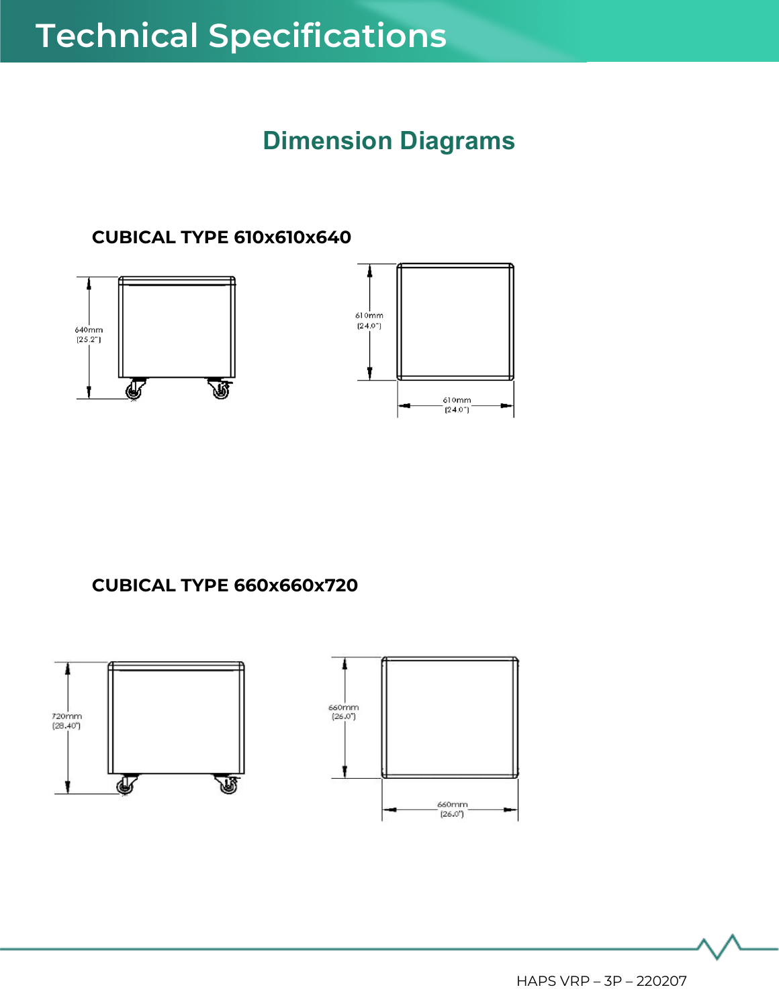#### **Dimension Diagrams**

**CUBICAL TYPE 610x610x640**





**CUBICAL TYPE 660x660x720**